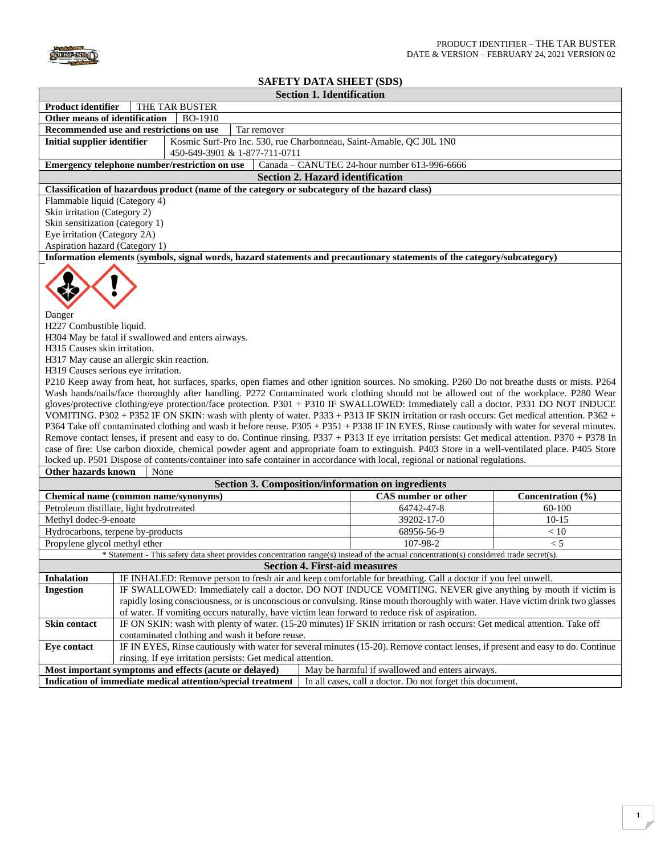

## **SAFETY DATA SHEET (SDS)**

|                                                                                                                                                                                                                                                                                                                                                                                                                                                                                                                                                                                                                                                                                                                                                                                                                                                                                                                                                                                                                                                                                                                                                                                                                                                                                                                                                                                   |                                                                                                                                                                              | <b>Section 1. Identification</b>                                                                                                        |                                              |                   |  |  |  |
|-----------------------------------------------------------------------------------------------------------------------------------------------------------------------------------------------------------------------------------------------------------------------------------------------------------------------------------------------------------------------------------------------------------------------------------------------------------------------------------------------------------------------------------------------------------------------------------------------------------------------------------------------------------------------------------------------------------------------------------------------------------------------------------------------------------------------------------------------------------------------------------------------------------------------------------------------------------------------------------------------------------------------------------------------------------------------------------------------------------------------------------------------------------------------------------------------------------------------------------------------------------------------------------------------------------------------------------------------------------------------------------|------------------------------------------------------------------------------------------------------------------------------------------------------------------------------|-----------------------------------------------------------------------------------------------------------------------------------------|----------------------------------------------|-------------------|--|--|--|
| <b>Product identifier</b><br>THE TAR BUSTER                                                                                                                                                                                                                                                                                                                                                                                                                                                                                                                                                                                                                                                                                                                                                                                                                                                                                                                                                                                                                                                                                                                                                                                                                                                                                                                                       |                                                                                                                                                                              |                                                                                                                                         |                                              |                   |  |  |  |
| Other means of identification<br><b>BO-1910</b>                                                                                                                                                                                                                                                                                                                                                                                                                                                                                                                                                                                                                                                                                                                                                                                                                                                                                                                                                                                                                                                                                                                                                                                                                                                                                                                                   |                                                                                                                                                                              |                                                                                                                                         |                                              |                   |  |  |  |
| Recommended use and restrictions on use<br>Tar remover                                                                                                                                                                                                                                                                                                                                                                                                                                                                                                                                                                                                                                                                                                                                                                                                                                                                                                                                                                                                                                                                                                                                                                                                                                                                                                                            |                                                                                                                                                                              |                                                                                                                                         |                                              |                   |  |  |  |
| <b>Initial supplier identifier</b>                                                                                                                                                                                                                                                                                                                                                                                                                                                                                                                                                                                                                                                                                                                                                                                                                                                                                                                                                                                                                                                                                                                                                                                                                                                                                                                                                |                                                                                                                                                                              | Kosmic Surf-Pro Inc. 530, rue Charbonneau, Saint-Amable, QC J0L 1N0<br>450-649-3901 & 1-877-711-0711                                    |                                              |                   |  |  |  |
|                                                                                                                                                                                                                                                                                                                                                                                                                                                                                                                                                                                                                                                                                                                                                                                                                                                                                                                                                                                                                                                                                                                                                                                                                                                                                                                                                                                   |                                                                                                                                                                              | Emergency telephone number/restriction on use                                                                                           | Canada - CANUTEC 24-hour number 613-996-6666 |                   |  |  |  |
|                                                                                                                                                                                                                                                                                                                                                                                                                                                                                                                                                                                                                                                                                                                                                                                                                                                                                                                                                                                                                                                                                                                                                                                                                                                                                                                                                                                   |                                                                                                                                                                              | <b>Section 2. Hazard identification</b>                                                                                                 |                                              |                   |  |  |  |
|                                                                                                                                                                                                                                                                                                                                                                                                                                                                                                                                                                                                                                                                                                                                                                                                                                                                                                                                                                                                                                                                                                                                                                                                                                                                                                                                                                                   |                                                                                                                                                                              | Classification of hazardous product (name of the category or subcategory of the hazard class)                                           |                                              |                   |  |  |  |
| Flammable liquid (Category 4)                                                                                                                                                                                                                                                                                                                                                                                                                                                                                                                                                                                                                                                                                                                                                                                                                                                                                                                                                                                                                                                                                                                                                                                                                                                                                                                                                     |                                                                                                                                                                              |                                                                                                                                         |                                              |                   |  |  |  |
| Skin irritation (Category 2)                                                                                                                                                                                                                                                                                                                                                                                                                                                                                                                                                                                                                                                                                                                                                                                                                                                                                                                                                                                                                                                                                                                                                                                                                                                                                                                                                      |                                                                                                                                                                              |                                                                                                                                         |                                              |                   |  |  |  |
| Skin sensitization (category 1)                                                                                                                                                                                                                                                                                                                                                                                                                                                                                                                                                                                                                                                                                                                                                                                                                                                                                                                                                                                                                                                                                                                                                                                                                                                                                                                                                   |                                                                                                                                                                              |                                                                                                                                         |                                              |                   |  |  |  |
|                                                                                                                                                                                                                                                                                                                                                                                                                                                                                                                                                                                                                                                                                                                                                                                                                                                                                                                                                                                                                                                                                                                                                                                                                                                                                                                                                                                   | Eye irritation (Category 2A)                                                                                                                                                 |                                                                                                                                         |                                              |                   |  |  |  |
| Aspiration hazard (Category 1)                                                                                                                                                                                                                                                                                                                                                                                                                                                                                                                                                                                                                                                                                                                                                                                                                                                                                                                                                                                                                                                                                                                                                                                                                                                                                                                                                    |                                                                                                                                                                              |                                                                                                                                         |                                              |                   |  |  |  |
|                                                                                                                                                                                                                                                                                                                                                                                                                                                                                                                                                                                                                                                                                                                                                                                                                                                                                                                                                                                                                                                                                                                                                                                                                                                                                                                                                                                   |                                                                                                                                                                              | Information elements (symbols, signal words, hazard statements and precautionary statements of the category/subcategory)                |                                              |                   |  |  |  |
| Danger<br>H227 Combustible liquid.<br>H304 May be fatal if swallowed and enters airways.<br>H315 Causes skin irritation.<br>H317 May cause an allergic skin reaction.<br>H319 Causes serious eye irritation.<br>P210 Keep away from heat, hot surfaces, sparks, open flames and other ignition sources. No smoking. P260 Do not breathe dusts or mists. P264<br>Wash hands/nails/face thoroughly after handling. P272 Contaminated work clothing should not be allowed out of the workplace. P280 Wear<br>gloves/protective clothing/eye protection/face protection. P301 + P310 IF SWALLOWED: Immediately call a doctor. P331 DO NOT INDUCE<br>VOMITING. P302 + P352 IF ON SKIN: wash with plenty of water. P333 + P313 IF SKIN irritation or rash occurs: Get medical attention. P362 +<br>P364 Take off contaminated clothing and wash it before reuse. P305 + P351 + P338 IF IN EYES, Rinse cautiously with water for several minutes.<br>Remove contact lenses, if present and easy to do. Continue rinsing. P337 + P313 If eye irritation persists: Get medical attention. P370 + P378 In<br>case of fire: Use carbon dioxide, chemical powder agent and appropriate foam to extinguish. P403 Store in a well-ventilated place. P405 Store<br>locked up. P501 Dispose of contents/container into safe container in accordance with local, regional or national regulations. |                                                                                                                                                                              |                                                                                                                                         |                                              |                   |  |  |  |
| Other hazards known                                                                                                                                                                                                                                                                                                                                                                                                                                                                                                                                                                                                                                                                                                                                                                                                                                                                                                                                                                                                                                                                                                                                                                                                                                                                                                                                                               | None                                                                                                                                                                         |                                                                                                                                         |                                              |                   |  |  |  |
|                                                                                                                                                                                                                                                                                                                                                                                                                                                                                                                                                                                                                                                                                                                                                                                                                                                                                                                                                                                                                                                                                                                                                                                                                                                                                                                                                                                   |                                                                                                                                                                              | <b>Section 3. Composition/information on ingredients</b>                                                                                |                                              |                   |  |  |  |
| Chemical name (common name/synonyms)                                                                                                                                                                                                                                                                                                                                                                                                                                                                                                                                                                                                                                                                                                                                                                                                                                                                                                                                                                                                                                                                                                                                                                                                                                                                                                                                              |                                                                                                                                                                              |                                                                                                                                         | <b>CAS</b> number or other                   | Concentration (%) |  |  |  |
| Petroleum distillate, light hydrotreated                                                                                                                                                                                                                                                                                                                                                                                                                                                                                                                                                                                                                                                                                                                                                                                                                                                                                                                                                                                                                                                                                                                                                                                                                                                                                                                                          |                                                                                                                                                                              |                                                                                                                                         | 64742-47-8                                   | 60-100            |  |  |  |
| Methyl dodec-9-enoate                                                                                                                                                                                                                                                                                                                                                                                                                                                                                                                                                                                                                                                                                                                                                                                                                                                                                                                                                                                                                                                                                                                                                                                                                                                                                                                                                             |                                                                                                                                                                              |                                                                                                                                         | 39202-17-0                                   | $10 - 15$         |  |  |  |
| Hydrocarbons, terpene by-products                                                                                                                                                                                                                                                                                                                                                                                                                                                                                                                                                                                                                                                                                                                                                                                                                                                                                                                                                                                                                                                                                                                                                                                                                                                                                                                                                 |                                                                                                                                                                              |                                                                                                                                         | 68956-56-9                                   | < 10              |  |  |  |
| Propylene glycol methyl ether                                                                                                                                                                                                                                                                                                                                                                                                                                                                                                                                                                                                                                                                                                                                                                                                                                                                                                                                                                                                                                                                                                                                                                                                                                                                                                                                                     |                                                                                                                                                                              |                                                                                                                                         | 107-98-2                                     | < 5               |  |  |  |
|                                                                                                                                                                                                                                                                                                                                                                                                                                                                                                                                                                                                                                                                                                                                                                                                                                                                                                                                                                                                                                                                                                                                                                                                                                                                                                                                                                                   |                                                                                                                                                                              | * Statement - This safety data sheet provides concentration range(s) instead of the actual concentration(s) considered trade secret(s). |                                              |                   |  |  |  |
|                                                                                                                                                                                                                                                                                                                                                                                                                                                                                                                                                                                                                                                                                                                                                                                                                                                                                                                                                                                                                                                                                                                                                                                                                                                                                                                                                                                   |                                                                                                                                                                              | <b>Section 4. First-aid measures</b>                                                                                                    |                                              |                   |  |  |  |
| <b>Inhalation</b>                                                                                                                                                                                                                                                                                                                                                                                                                                                                                                                                                                                                                                                                                                                                                                                                                                                                                                                                                                                                                                                                                                                                                                                                                                                                                                                                                                 |                                                                                                                                                                              | IF INHALED: Remove person to fresh air and keep comfortable for breathing. Call a doctor if you feel unwell.                            |                                              |                   |  |  |  |
| <b>Ingestion</b>                                                                                                                                                                                                                                                                                                                                                                                                                                                                                                                                                                                                                                                                                                                                                                                                                                                                                                                                                                                                                                                                                                                                                                                                                                                                                                                                                                  |                                                                                                                                                                              | IF SWALLOWED: Immediately call a doctor. DO NOT INDUCE VOMITING. NEVER give anything by mouth if victim is                              |                                              |                   |  |  |  |
|                                                                                                                                                                                                                                                                                                                                                                                                                                                                                                                                                                                                                                                                                                                                                                                                                                                                                                                                                                                                                                                                                                                                                                                                                                                                                                                                                                                   |                                                                                                                                                                              | rapidly losing consciousness, or is unconscious or convulsing. Rinse mouth thoroughly with water. Have victim drink two glasses         |                                              |                   |  |  |  |
|                                                                                                                                                                                                                                                                                                                                                                                                                                                                                                                                                                                                                                                                                                                                                                                                                                                                                                                                                                                                                                                                                                                                                                                                                                                                                                                                                                                   |                                                                                                                                                                              | of water. If vomiting occurs naturally, have victim lean forward to reduce risk of aspiration.                                          |                                              |                   |  |  |  |
| Skin contact                                                                                                                                                                                                                                                                                                                                                                                                                                                                                                                                                                                                                                                                                                                                                                                                                                                                                                                                                                                                                                                                                                                                                                                                                                                                                                                                                                      | IF ON SKIN: wash with plenty of water. (15-20 minutes) IF SKIN irritation or rash occurs: Get medical attention. Take off<br>contaminated clothing and wash it before reuse. |                                                                                                                                         |                                              |                   |  |  |  |
| <b>Eye contact</b>                                                                                                                                                                                                                                                                                                                                                                                                                                                                                                                                                                                                                                                                                                                                                                                                                                                                                                                                                                                                                                                                                                                                                                                                                                                                                                                                                                |                                                                                                                                                                              | IF IN EYES, Rinse cautiously with water for several minutes (15-20). Remove contact lenses, if present and easy to do. Continue         |                                              |                   |  |  |  |
|                                                                                                                                                                                                                                                                                                                                                                                                                                                                                                                                                                                                                                                                                                                                                                                                                                                                                                                                                                                                                                                                                                                                                                                                                                                                                                                                                                                   |                                                                                                                                                                              | rinsing. If eye irritation persists: Get medical attention.                                                                             |                                              |                   |  |  |  |
| Most important symptoms and effects (acute or delayed)<br>May be harmful if swallowed and enters airways.                                                                                                                                                                                                                                                                                                                                                                                                                                                                                                                                                                                                                                                                                                                                                                                                                                                                                                                                                                                                                                                                                                                                                                                                                                                                         |                                                                                                                                                                              |                                                                                                                                         |                                              |                   |  |  |  |
| Indication of immediate medical attention/special treatment<br>In all cases, call a doctor. Do not forget this document.                                                                                                                                                                                                                                                                                                                                                                                                                                                                                                                                                                                                                                                                                                                                                                                                                                                                                                                                                                                                                                                                                                                                                                                                                                                          |                                                                                                                                                                              |                                                                                                                                         |                                              |                   |  |  |  |
|                                                                                                                                                                                                                                                                                                                                                                                                                                                                                                                                                                                                                                                                                                                                                                                                                                                                                                                                                                                                                                                                                                                                                                                                                                                                                                                                                                                   |                                                                                                                                                                              |                                                                                                                                         |                                              |                   |  |  |  |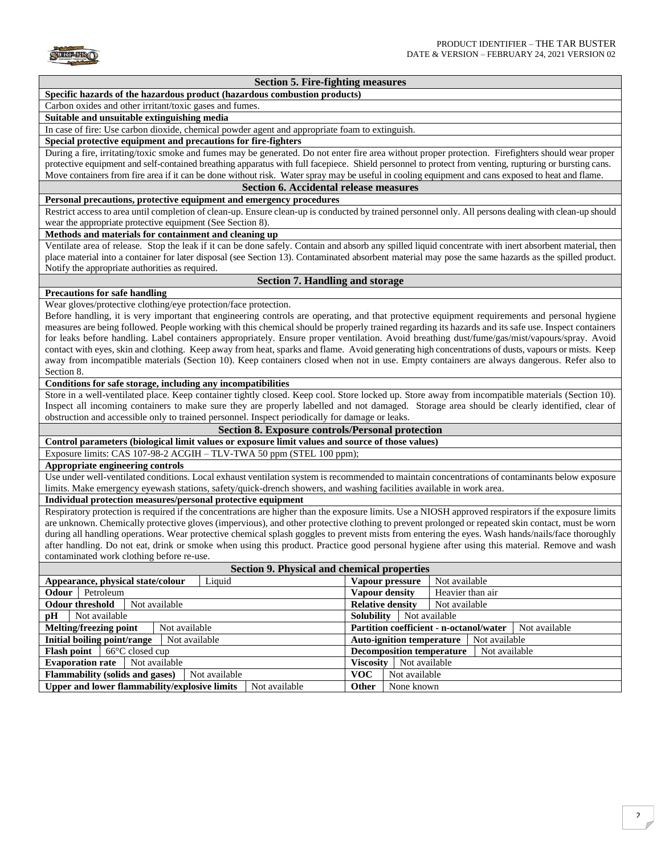

## **Section 5. Fire-fighting measures**

## **Specific hazards of the hazardous product (hazardous combustion products)**

## Carbon oxides and other irritant/toxic gases and fumes.

## **Suitable and unsuitable extinguishing media**

In case of fire: Use carbon dioxide, chemical powder agent and appropriate foam to extinguish.

## **Special protective equipment and precautions for fire-fighters**

During a fire, irritating/toxic smoke and fumes may be generated. Do not enter fire area without proper protection. Firefighters should wear proper protective equipment and self-contained breathing apparatus with full facepiece. Shield personnel to protect from venting, rupturing or bursting cans. Move containers from fire area if it can be done without risk. Water spray may be useful in cooling equipment and cans exposed to heat and flame.

#### **Section 6. Accidental release measures**

#### **Personal precautions, protective equipment and emergency procedures**

Restrict access to area until completion of clean-up. Ensure clean-up is conducted by trained personnel only. All persons dealing with clean-up should wear the appropriate protective equipment (See Section 8).

#### **Methods and materials for containment and cleaning up**

Ventilate area of release. Stop the leak if it can be done safely. Contain and absorb any spilled liquid concentrate with inert absorbent material, then place material into a container for later disposal (see Section 13). Contaminated absorbent material may pose the same hazards as the spilled product. Notify the appropriate authorities as required.

## **Section 7. Handling and storage**

#### **Precautions for safe handling**

Wear gloves/protective clothing/eye protection/face protection.

Before handling, it is very important that engineering controls are operating, and that protective equipment requirements and personal hygiene measures are being followed. People working with this chemical should be properly trained regarding its hazards and its safe use. Inspect containers for leaks before handling. Label containers appropriately. Ensure proper ventilation. Avoid breathing dust/fume/gas/mist/vapours/spray. Avoid contact with eyes, skin and clothing. Keep away from heat, sparks and flame. Avoid generating high concentrations of dusts, vapours or mists. Keep away from incompatible materials (Section 10). Keep containers closed when not in use. Empty containers are always dangerous. Refer also to Section 8.

#### **Conditions for safe storage, including any incompatibilities**

Store in a well-ventilated place. Keep container tightly closed. Keep cool. Store locked up. Store away from incompatible materials (Section 10). Inspect all incoming containers to make sure they are properly labelled and not damaged. Storage area should be clearly identified, clear of obstruction and accessible only to trained personnel. Inspect periodically for damage or leaks.

**Section 8. Exposure controls/Personal protection**

# **Control parameters (biological limit values or exposure limit values and source of those values)**

Exposure limits: CAS 107-98-2 ACGIH – TLV-TWA 50 ppm (STEL 100 ppm);

## **Appropriate engineering controls**

Use under well-ventilated conditions. Local exhaust ventilation system is recommended to maintain concentrations of contaminants below exposure limits. Make emergency eyewash stations, safety/quick-drench showers, and washing facilities available in work area.

## **Individual protection measures/personal protective equipment**

Respiratory protection is required if the concentrations are higher than the exposure limits. Use a NIOSH approved respirators if the exposure limits are unknown. Chemically protective gloves (impervious), and other protective clothing to prevent prolonged or repeated skin contact, must be worn during all handling operations. Wear protective chemical splash goggles to prevent mists from entering the eyes. Wash hands/nails/face thoroughly after handling. Do not eat, drink or smoke when using this product. Practice good personal hygiene after using this material. Remove and wash contaminated work clothing before re-use.

| Section 9. Physical and chemical properties   |                                                |  |  |  |  |
|-----------------------------------------------|------------------------------------------------|--|--|--|--|
| Appearance, physical state/colour             | Not available                                  |  |  |  |  |
| Liquid                                        | Vapour pressure                                |  |  |  |  |
| Petroleum                                     | Heavier than air                               |  |  |  |  |
| <b>Odour</b>                                  | Vapour density                                 |  |  |  |  |
| <b>Odour threshold</b>                        | <b>Relative density</b>                        |  |  |  |  |
| Not available                                 | Not available                                  |  |  |  |  |
| pH                                            | <b>Solubility</b>                              |  |  |  |  |
| Not available                                 | Not available                                  |  |  |  |  |
| Not available                                 | <b>Partition coefficient - n-octanol/water</b> |  |  |  |  |
| Melting/freezing point                        | Not available                                  |  |  |  |  |
| Initial boiling point/range                   | <b>Auto-ignition temperature</b>               |  |  |  |  |
| Not available                                 | Not available                                  |  |  |  |  |
| $66^{\circ}$ C closed cup                     | <b>Decomposition temperature</b>               |  |  |  |  |
| <b>Flash point</b>                            | Not available                                  |  |  |  |  |
| Not available                                 | Viscositv                                      |  |  |  |  |
| <b>Evaporation rate</b>                       | Not available                                  |  |  |  |  |
| <b>Flammability (solids and gases)</b>        | <b>VOC</b>                                     |  |  |  |  |
| Not available                                 | Not available                                  |  |  |  |  |
| Upper and lower flammability/explosive limits | <b>Other</b>                                   |  |  |  |  |
| Not available                                 | None known                                     |  |  |  |  |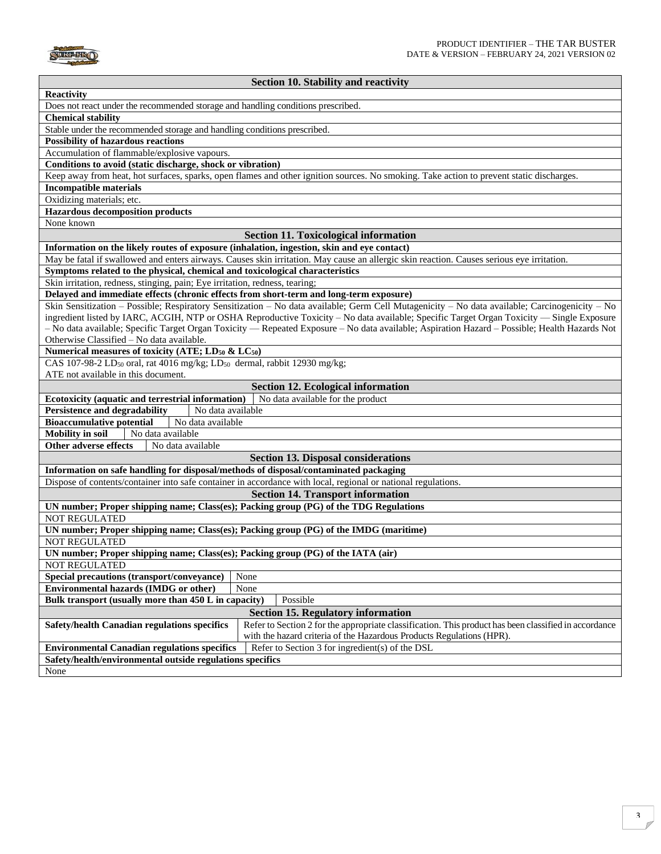

## **Section 10. Stability and reactivity**

| <b>Reactivity</b>                                                                                                                                     |  |  |  |  |
|-------------------------------------------------------------------------------------------------------------------------------------------------------|--|--|--|--|
| Does not react under the recommended storage and handling conditions prescribed.                                                                      |  |  |  |  |
| <b>Chemical stability</b>                                                                                                                             |  |  |  |  |
| Stable under the recommended storage and handling conditions prescribed.                                                                              |  |  |  |  |
| <b>Possibility of hazardous reactions</b>                                                                                                             |  |  |  |  |
| Accumulation of flammable/explosive vapours.                                                                                                          |  |  |  |  |
| Conditions to avoid (static discharge, shock or vibration)                                                                                            |  |  |  |  |
| Keep away from heat, hot surfaces, sparks, open flames and other ignition sources. No smoking. Take action to prevent static discharges.              |  |  |  |  |
| <b>Incompatible materials</b>                                                                                                                         |  |  |  |  |
| Oxidizing materials; etc.                                                                                                                             |  |  |  |  |
|                                                                                                                                                       |  |  |  |  |
| <b>Hazardous decomposition products</b>                                                                                                               |  |  |  |  |
| None known                                                                                                                                            |  |  |  |  |
| <b>Section 11. Toxicological information</b>                                                                                                          |  |  |  |  |
| Information on the likely routes of exposure (inhalation, ingestion, skin and eye contact)                                                            |  |  |  |  |
| May be fatal if swallowed and enters airways. Causes skin irritation. May cause an allergic skin reaction. Causes serious eye irritation.             |  |  |  |  |
| Symptoms related to the physical, chemical and toxicological characteristics                                                                          |  |  |  |  |
| Skin irritation, redness, stinging, pain; Eye irritation, redness, tearing;                                                                           |  |  |  |  |
| Delayed and immediate effects (chronic effects from short-term and long-term exposure)                                                                |  |  |  |  |
| Skin Sensitization – Possible; Respiratory Sensitization – No data available; Germ Cell Mutagenicity – No data available; Carcinogenicity – No        |  |  |  |  |
| ingredient listed by IARC, ACGIH, NTP or OSHA Reproductive Toxicity - No data available; Specific Target Organ Toxicity - Single Exposure             |  |  |  |  |
| - No data available; Specific Target Organ Toxicity - Repeated Exposure - No data available; Aspiration Hazard - Possible; Health Hazards Not         |  |  |  |  |
| Otherwise Classified - No data available.                                                                                                             |  |  |  |  |
| Numerical measures of toxicity (ATE; LD <sub>50</sub> & LC <sub>50</sub> )                                                                            |  |  |  |  |
| CAS 107-98-2 LD <sub>50</sub> oral, rat 4016 mg/kg; LD <sub>50</sub> dermal, rabbit 12930 mg/kg;                                                      |  |  |  |  |
| ATE not available in this document.                                                                                                                   |  |  |  |  |
| <b>Section 12. Ecological information</b>                                                                                                             |  |  |  |  |
| Ecotoxicity (aquatic and terrestrial information)<br>No data available for the product                                                                |  |  |  |  |
| <b>Persistence and degradability</b><br>No data available                                                                                             |  |  |  |  |
| <b>Bioaccumulative potential</b><br>No data available                                                                                                 |  |  |  |  |
|                                                                                                                                                       |  |  |  |  |
| <b>Mobility</b> in soil<br>No data available                                                                                                          |  |  |  |  |
| <b>Other adverse effects</b><br>No data available                                                                                                     |  |  |  |  |
| <b>Section 13. Disposal considerations</b>                                                                                                            |  |  |  |  |
| Information on safe handling for disposal/methods of disposal/contaminated packaging                                                                  |  |  |  |  |
| Dispose of contents/container into safe container in accordance with local, regional or national regulations.                                         |  |  |  |  |
| <b>Section 14. Transport information</b>                                                                                                              |  |  |  |  |
| UN number; Proper shipping name; Class(es); Packing group (PG) of the TDG Regulations                                                                 |  |  |  |  |
| <b>NOT REGULATED</b>                                                                                                                                  |  |  |  |  |
| UN number; Proper shipping name; Class(es); Packing group (PG) of the IMDG (maritime)                                                                 |  |  |  |  |
| <b>NOT REGULATED</b>                                                                                                                                  |  |  |  |  |
| UN number; Proper shipping name; Class(es); Packing group (PG) of the IATA (air)                                                                      |  |  |  |  |
| <b>NOT REGULATED</b>                                                                                                                                  |  |  |  |  |
| None<br>Special precautions (transport/conveyance)                                                                                                    |  |  |  |  |
| Environmental hazards (IMDG or other)                                                                                                                 |  |  |  |  |
| None<br>Possible                                                                                                                                      |  |  |  |  |
| Bulk transport (usually more than 450 L in capacity)                                                                                                  |  |  |  |  |
| <b>Section 15. Regulatory information</b>                                                                                                             |  |  |  |  |
| Refer to Section 2 for the appropriate classification. This product has been classified in accordance<br>Safety/health Canadian regulations specifics |  |  |  |  |
| with the hazard criteria of the Hazardous Products Regulations (HPR).                                                                                 |  |  |  |  |
| Refer to Section 3 for ingredient(s) of the DSL<br><b>Environmental Canadian regulations specifics</b>                                                |  |  |  |  |
| Safety/health/environmental outside regulations specifics                                                                                             |  |  |  |  |
| None                                                                                                                                                  |  |  |  |  |